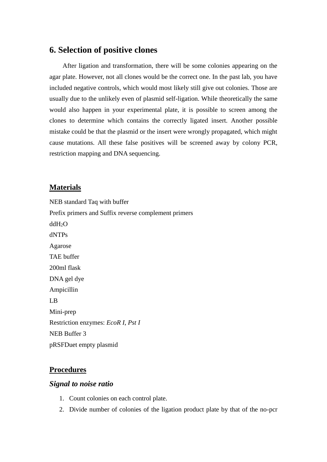# **6. Selection of positive clones**

After ligation and transformation, there will be some colonies appearing on the agar plate. However, not all clones would be the correct one. In the past lab, you have included negative controls, which would most likely still give out colonies. Those are usually due to the unlikely even of plasmid self-ligation. While theoretically the same would also happen in your experimental plate, it is possible to screen among the clones to determine which contains the correctly ligated insert. Another possible mistake could be that the plasmid or the insert were wrongly propagated, which might cause mutations. All these false positives will be screened away by colony PCR, restriction mapping and DNA sequencing.

### **Materials**

NEB standard Taq with buffer Prefix primers and Suffix reverse complement primers ddH2O dNTPs Agarose TAE buffer 200ml flask DNA gel dye Ampicillin LB Mini-prep Restriction enzymes: *EcoR I*, *Pst I* NEB Buffer 3 pRSFDuet empty plasmid

### **Procedures**

#### *Signal to noise ratio*

- 1. Count colonies on each control plate.
- 2. Divide number of colonies of the ligation product plate by that of the no-pcr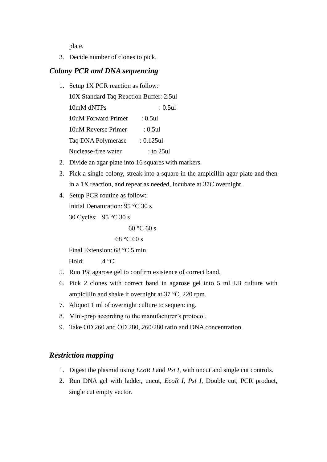plate.

3. Decide number of clones to pick.

### *Colony PCR and DNA sequencing*

1. Setup 1X PCR reaction as follow:

10X Standard Taq Reaction Buffer: 2.5ul

10mM dNTPs : 0.5ul 10uM Forward Primer : 0.5ul

10uM Reverse Primer : 0.5ul

- Taq DNA Polymerase : 0.125ul
- Nuclease-free water : to 25ul
- 2. Divide an agar plate into 16 squares with markers.
- 3. Pick a single colony, streak into a square in the ampicillin agar plate and then in a 1X reaction, and repeat as needed, incubate at 37C overnight.
- 4. Setup PCR routine as follow: Initial Denaturation: 95 °C 30 s

30 Cycles: 95 °C 30 s

```
60 °C 60 s
```

```
68 °C 60 s
```
Final Extension: 68 °C 5 min

Hold:  $4^{\circ}$ C

- 5. Run 1% agarose gel to confirm existence of correct band.
- 6. Pick 2 clones with correct band in agarose gel into 5 ml LB culture with ampicillin and shake it overnight at 37 °C, 220 rpm.
- 7. Aliquot 1 ml of overnight culture to sequencing.
- 8. Mini-prep according to the manufacturer's protocol.
- 9. Take OD 260 and OD 280, 260/280 ratio and DNA concentration.

## *Restriction mapping*

- 1. Digest the plasmid using *EcoR I* and *Pst I*, with uncut and single cut controls.
- 2. Run DNA gel with ladder, uncut, *EcoR I*, *Pst I*, Double cut, PCR product, single cut empty vector.